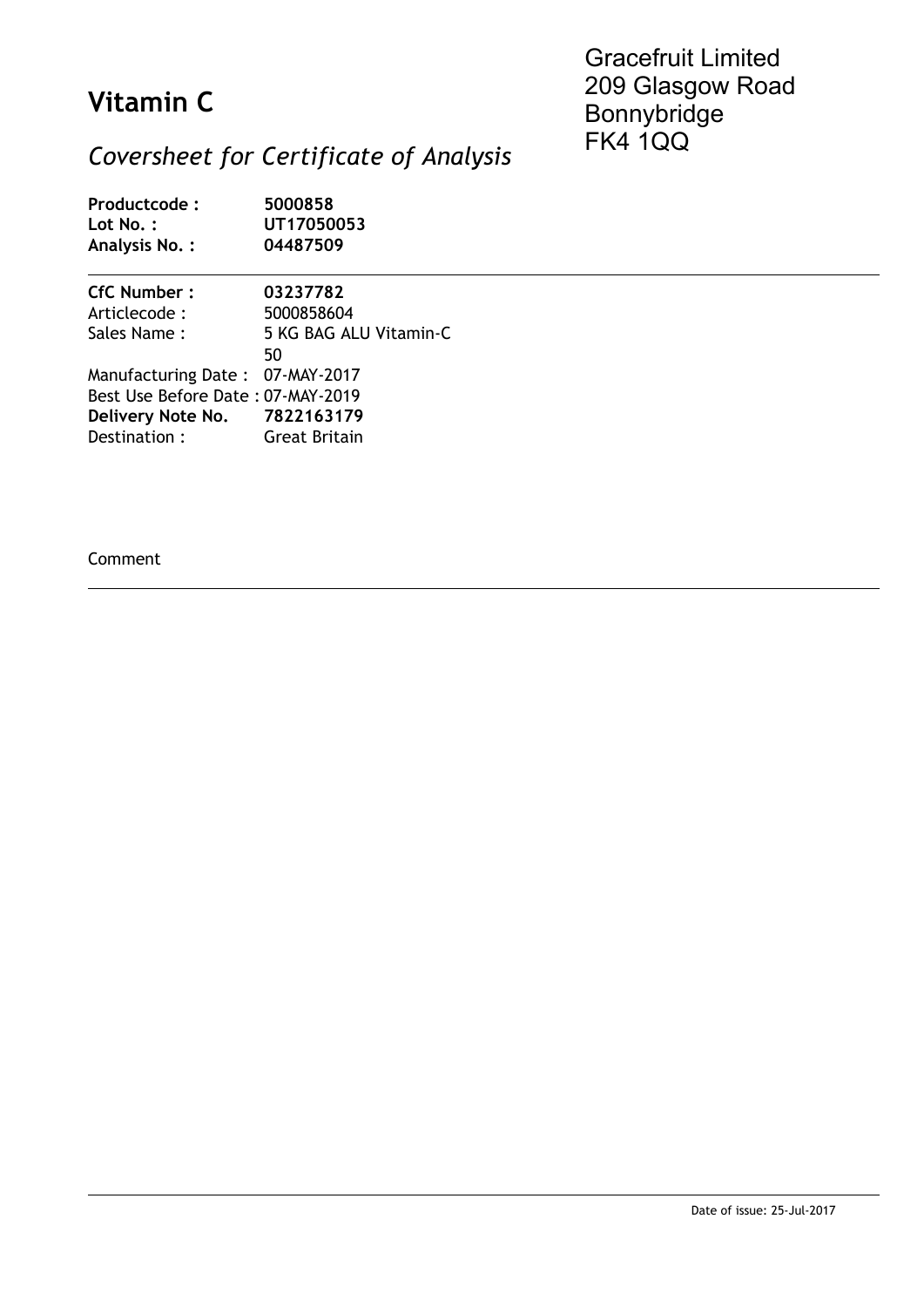## **Vitamin C**

Gracefruit Limited 209 Glasgow Road Bonnybridge FK4 1QQ

## *Coversheet for Certificate of Analysis*

| Productcode:<br>$Lot No.$ :<br>Analysis No.: | 5000858<br>UT17050053<br>04487509 |
|----------------------------------------------|-----------------------------------|
| <b>CfC Number:</b>                           | 03237782                          |
| Articlecode :                                | 5000858604                        |
| Sales Name:                                  | 5 KG BAG ALU Vitamin-C<br>50      |
| Manufacturing Date: 07-MAY-2017              |                                   |
| Best Use Before Date: 07-MAY-2019            |                                   |
| Delivery Note No. 7822163179                 |                                   |
| Destination:                                 | Great Britain                     |

Comment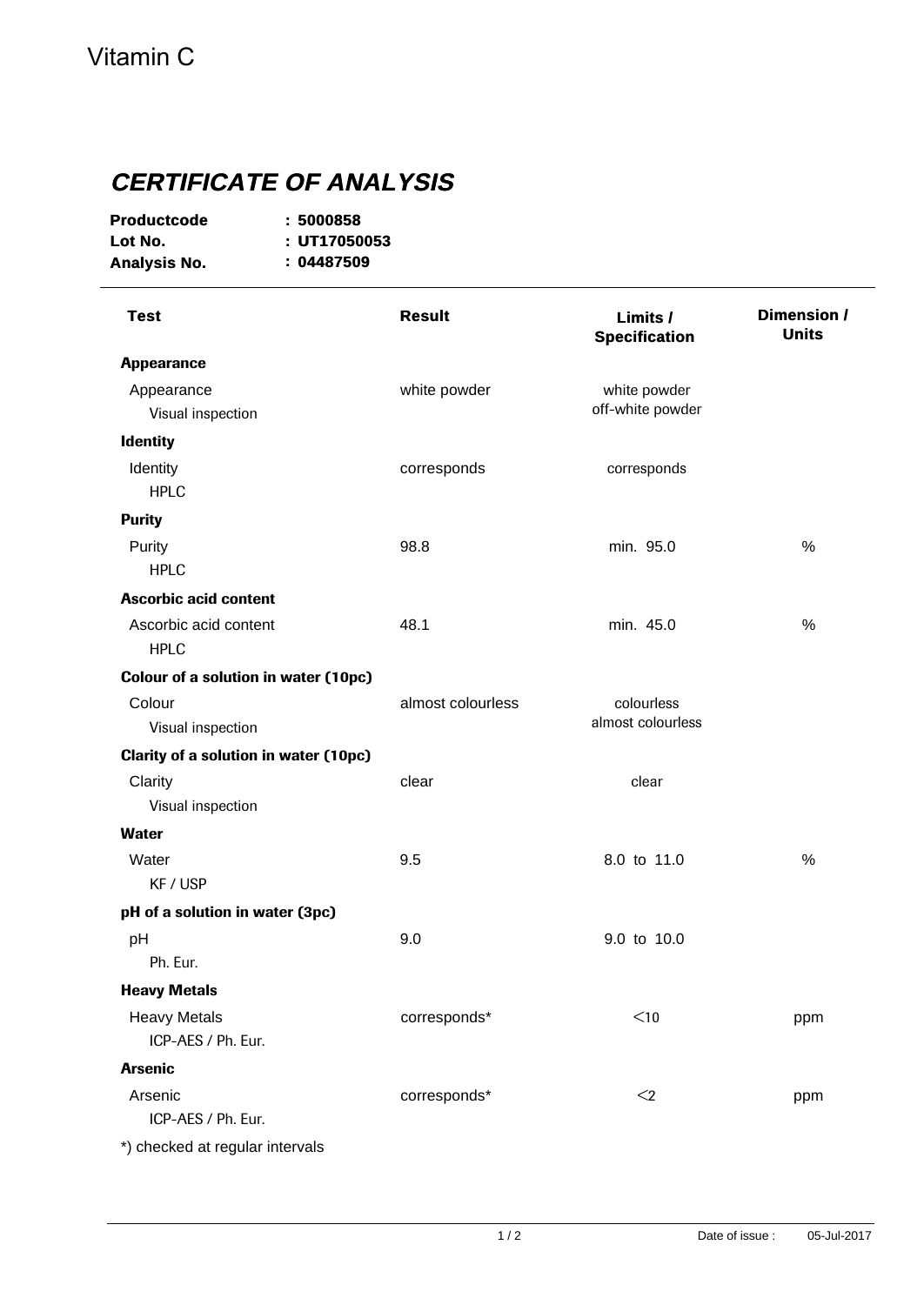## **CERTIFICATE OF ANALYSIS**

| <b>Productcode</b> | :5000858     |
|--------------------|--------------|
| Lot No.            | : UT17050053 |
| Analysis No.       | : 04487509   |

| <b>Test</b>                                  | <b>Result</b>     | Limits /<br><b>Specification</b> | Dimension /<br><b>Units</b> |
|----------------------------------------------|-------------------|----------------------------------|-----------------------------|
| <b>Appearance</b>                            |                   |                                  |                             |
| Appearance                                   | white powder      | white powder                     |                             |
| Visual inspection                            |                   | off-white powder                 |                             |
| <b>Identity</b>                              |                   |                                  |                             |
| Identity                                     | corresponds       | corresponds                      |                             |
| <b>HPLC</b>                                  |                   |                                  |                             |
| <b>Purity</b>                                |                   |                                  |                             |
| Purity                                       | 98.8              | min. 95.0                        | $\%$                        |
| <b>HPLC</b>                                  |                   |                                  |                             |
| <b>Ascorbic acid content</b>                 |                   |                                  |                             |
| Ascorbic acid content                        | 48.1              | min. 45.0                        | %                           |
| <b>HPLC</b>                                  |                   |                                  |                             |
| <b>Colour of a solution in water (10pc)</b>  |                   |                                  |                             |
| Colour                                       | almost colourless | colourless                       |                             |
| Visual inspection                            |                   | almost colourless                |                             |
| <b>Clarity of a solution in water (10pc)</b> |                   |                                  |                             |
| Clarity                                      | clear             | clear                            |                             |
| Visual inspection                            |                   |                                  |                             |
| <b>Water</b>                                 |                   |                                  |                             |
| Water                                        | 9.5               | 8.0 to 11.0                      | %                           |
| KF / USP                                     |                   |                                  |                             |
| pH of a solution in water (3pc)              |                   |                                  |                             |
| pH                                           | 9.0               | 9.0 to 10.0                      |                             |
| Ph. Eur.                                     |                   |                                  |                             |
| <b>Heavy Metals</b>                          |                   |                                  |                             |
| <b>Heavy Metals</b>                          | corresponds*      | $<$ 10                           | ppm                         |
| ICP-AES / Ph. Eur.                           |                   |                                  |                             |
| <b>Arsenic</b>                               |                   |                                  |                             |
| Arsenic                                      | corresponds*      | $\leq$                           | ppm                         |
| ICP-AES / Ph. Eur.                           |                   |                                  |                             |
| *) checked at regular intervals              |                   |                                  |                             |